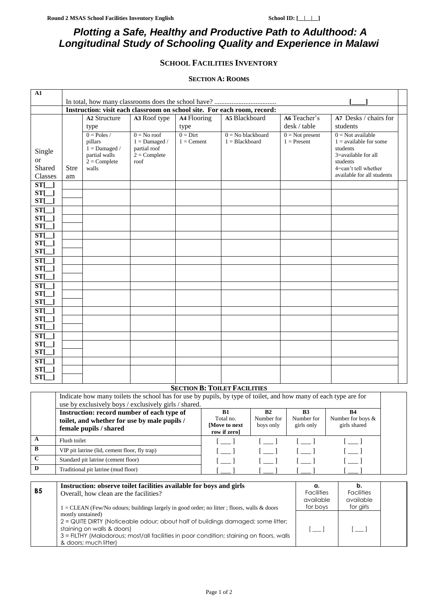# *Plotting a Safe, Healthy and Productive Path to Adulthood: A Longitudinal Study of Schooling Quality and Experience in Malawi*

## **SCHOOL FACILITIES INVENTORY**

#### **SECTION A: ROOMS**

| A1                   |                                                                          |                            |                                 |              |                     |                   |                                      |  |
|----------------------|--------------------------------------------------------------------------|----------------------------|---------------------------------|--------------|---------------------|-------------------|--------------------------------------|--|
|                      |                                                                          |                            |                                 |              |                     |                   |                                      |  |
|                      | Instruction: visit each classroom on school site. For each room, record: |                            |                                 |              |                     |                   |                                      |  |
|                      |                                                                          | A2 Structure               | A3 Roof type                    | A4 Flooring  | A5 Blackboard       | A6 Teacher's      | A7 Desks / chairs for                |  |
|                      |                                                                          | type                       |                                 | type         |                     | desk / table      | students                             |  |
|                      |                                                                          | $0 = Poles /$              | $0 = No$ roof                   | $0 =$ Dirt   | $0 = No$ blackboard | $0 = Not present$ | $0 = Not available$                  |  |
|                      |                                                                          | pillars<br>$1 =$ Damaged / | $1 =$ Damaged /<br>partial roof | $1 =$ Cement | $1 = Blackboard$    | $1 =$ Present     | $1 =$ available for some<br>students |  |
| Single               |                                                                          | partial walls              | $2 =$ Complete                  |              |                     |                   | 3=available for all                  |  |
| <b>or</b>            |                                                                          | $2 =$ Complete             | roof                            |              |                     |                   | students                             |  |
| Shared               | <b>Stre</b>                                                              | walls                      |                                 |              |                     |                   | 4=can't tell whether                 |  |
| Classes              | am                                                                       |                            |                                 |              |                     |                   | available for all students           |  |
| $ST[\ ]$             |                                                                          |                            |                                 |              |                     |                   |                                      |  |
| $ST[\_]$             |                                                                          |                            |                                 |              |                     |                   |                                      |  |
| $ST[\ ]$             |                                                                          |                            |                                 |              |                     |                   |                                      |  |
| $ST[\ ]$             |                                                                          |                            |                                 |              |                     |                   |                                      |  |
| $ST[\ ]$             |                                                                          |                            |                                 |              |                     |                   |                                      |  |
| $ST[\ ]$             |                                                                          |                            |                                 |              |                     |                   |                                      |  |
| $ST[\ ]$             |                                                                          |                            |                                 |              |                     |                   |                                      |  |
| $ST[\ ]$             |                                                                          |                            |                                 |              |                     |                   |                                      |  |
| $ST[\ ]$             |                                                                          |                            |                                 |              |                     |                   |                                      |  |
| $ST[\ ]$             |                                                                          |                            |                                 |              |                     |                   |                                      |  |
| $ST[\ ]$             |                                                                          |                            |                                 |              |                     |                   |                                      |  |
| $ST[\ ]$             |                                                                          |                            |                                 |              |                     |                   |                                      |  |
| $ST[\_]$<br>$ST[\ ]$ |                                                                          |                            |                                 |              |                     |                   |                                      |  |
| ST <sub>L</sub>      |                                                                          |                            |                                 |              |                     |                   |                                      |  |
| $ST[\ ]$             |                                                                          |                            |                                 |              |                     |                   |                                      |  |
| $ST[\ ]$             |                                                                          |                            |                                 |              |                     |                   |                                      |  |
| ST <sub>L</sub>      |                                                                          |                            |                                 |              |                     |                   |                                      |  |
| <b>ST[</b>           |                                                                          |                            |                                 |              |                     |                   |                                      |  |
| $ST[\_]$             |                                                                          |                            |                                 |              |                     |                   |                                      |  |
| $ST[\_]$             |                                                                          |                            |                                 |              |                     |                   |                                      |  |
| $ST[\ ]$             |                                                                          |                            |                                 |              |                     |                   |                                      |  |
| $ST[\ ]$             |                                                                          |                            |                                 |              |                     |                   |                                      |  |
| $ST[\_]$             |                                                                          |                            |                                 |              |                     |                   |                                      |  |
|                      |                                                                          |                            |                                 |              |                     |                   |                                      |  |

#### **SECTION B: TOILET FACILITIES**

|              | Indicate how many toilets the school has for use by pupils, by type of toilet, and how many of each type are for     |                                                   |                               |                                       |                                                |  |
|--------------|----------------------------------------------------------------------------------------------------------------------|---------------------------------------------------|-------------------------------|---------------------------------------|------------------------------------------------|--|
|              | use by exclusively boys / exclusively girls / shared.                                                                |                                                   |                               |                                       |                                                |  |
|              | Instruction: record number of each type of<br>toilet, and whether for use by male pupils /<br>female pupils / shared | B1<br>Total no.<br>[Move to next]<br>row if zero] | B2<br>Number for<br>boys only | <b>B3</b><br>Number for<br>girls only | <b>B4</b><br>Number for boys &<br>girls shared |  |
| A            | Flush toilet                                                                                                         |                                                   |                               |                                       |                                                |  |
| $\mathbf{B}$ | VIP pit latrine (lid, cement floor, fly trap)                                                                        |                                                   |                               |                                       |                                                |  |
| $\mathbf C$  | Standard pit latrine (cement floor)                                                                                  |                                                   |                               |                                       |                                                |  |
| D            | Traditional pit latrine (mud floor)                                                                                  |                                                   |                               |                                       |                                                |  |

| <b>B5</b> | Instruction: observe toilet facilities available for boys and girls<br>Overall, how clean are the facilities?                                                                                                                                            | α.<br><b>Facilities</b><br>available  | <b>Facilities</b><br>available |  |
|-----------|----------------------------------------------------------------------------------------------------------------------------------------------------------------------------------------------------------------------------------------------------------|---------------------------------------|--------------------------------|--|
|           | $1 =$ CLEAN (Few/No odours; buildings largely in good order; no litter; floors, walls & doors                                                                                                                                                            | for boys                              | for girls                      |  |
|           | mostly unstained)<br>2 = QUITE DIRTY (Noticeable odour; about half of buildings damaged; some litter;<br>staining on walls & doors)<br>3 = FILTHY (Malodorous; most/all facilities in poor condition; staining on floors, walls<br>& doors; much litter) | $\begin{bmatrix} 1 & 1 \end{bmatrix}$ | $\overline{\phantom{0}}$       |  |